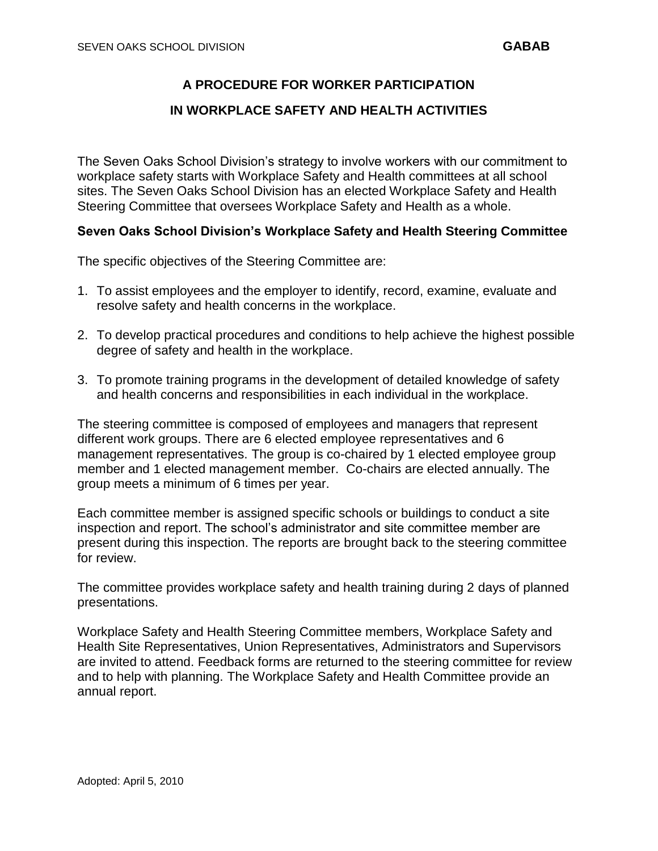## **A PROCEDURE FOR WORKER PARTICIPATION**

## **IN WORKPLACE SAFETY AND HEALTH ACTIVITIES**

The Seven Oaks School Division's strategy to involve workers with our commitment to workplace safety starts with Workplace Safety and Health committees at all school sites. The Seven Oaks School Division has an elected Workplace Safety and Health Steering Committee that oversees Workplace Safety and Health as a whole.

## **Seven Oaks School Division's Workplace Safety and Health Steering Committee**

The specific objectives of the Steering Committee are:

- 1. To assist employees and the employer to identify, record, examine, evaluate and resolve safety and health concerns in the workplace.
- 2. To develop practical procedures and conditions to help achieve the highest possible degree of safety and health in the workplace.
- 3. To promote training programs in the development of detailed knowledge of safety and health concerns and responsibilities in each individual in the workplace.

The steering committee is composed of employees and managers that represent different work groups. There are 6 elected employee representatives and 6 management representatives. The group is co-chaired by 1 elected employee group member and 1 elected management member. Co-chairs are elected annually. The group meets a minimum of 6 times per year.

Each committee member is assigned specific schools or buildings to conduct a site inspection and report. The school's administrator and site committee member are present during this inspection. The reports are brought back to the steering committee for review.

The committee provides workplace safety and health training during 2 days of planned presentations.

Workplace Safety and Health Steering Committee members, Workplace Safety and Health Site Representatives, Union Representatives, Administrators and Supervisors are invited to attend. Feedback forms are returned to the steering committee for review and to help with planning. The Workplace Safety and Health Committee provide an annual report.